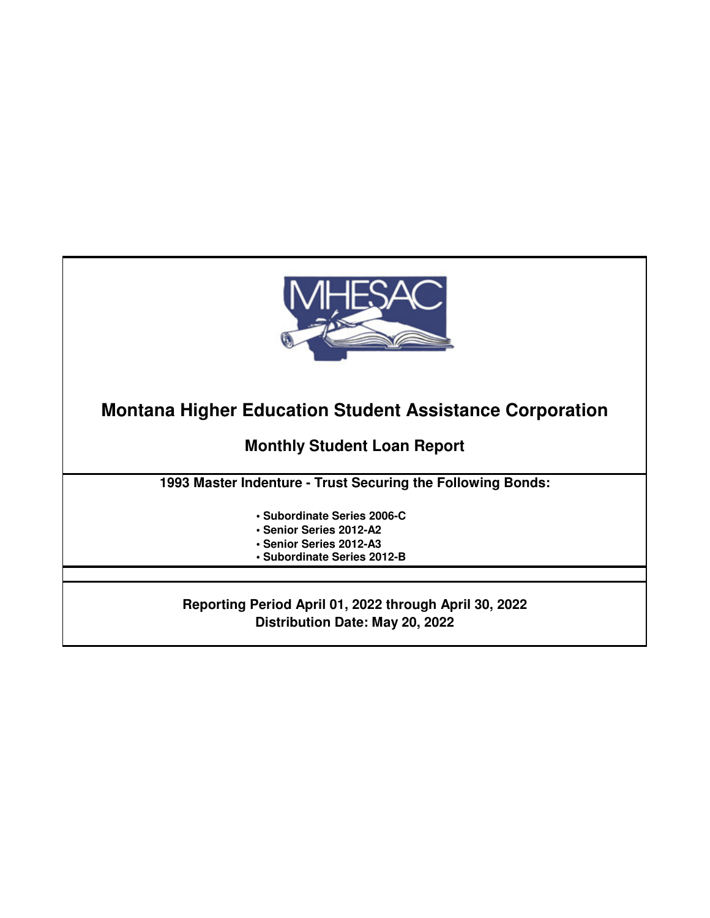

**Montana Higher Education Student Assistance Corporation**

**Monthly Student Loan Report**

**1993 Master Indenture - Trust Securing the Following Bonds:**

- **Subordinate Series 2006-C**
- **Senior Series 2012-A2**
- **Senior Series 2012-A3**
- **Subordinate Series 2012-B**

**Reporting Period April 01, 2022 through April 30, 2022 Distribution Date: May 20, 2022**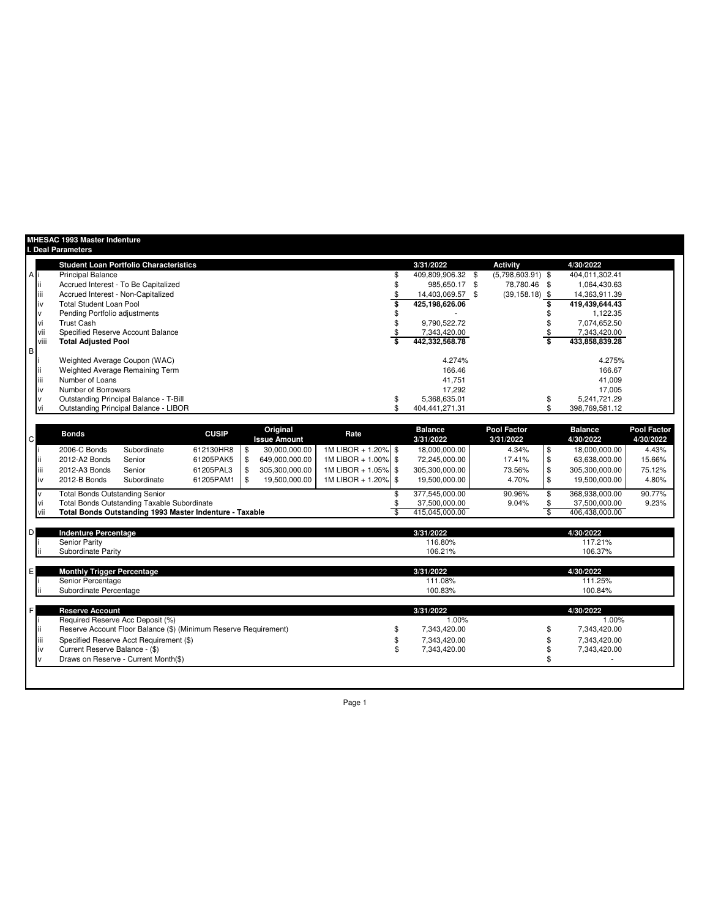|              |      | <b>MHESAC 1993 Master Indenture</b><br><b>I. Deal Parameters</b> |                                                    |              |                                 |                     |                             |                                 |                             |                                 |
|--------------|------|------------------------------------------------------------------|----------------------------------------------------|--------------|---------------------------------|---------------------|-----------------------------|---------------------------------|-----------------------------|---------------------------------|
|              |      |                                                                  | <b>Student Loan Portfolio Characteristics</b>      |              |                                 |                     | 3/31/2022                   | <b>Activity</b>                 | 4/30/2022                   |                                 |
| ΑI           |      | <b>Principal Balance</b>                                         |                                                    |              |                                 |                     | 409,809,906.32 \$           | $(5,798,603.91)$ \$             | 404.011.302.41              |                                 |
|              |      |                                                                  | Accrued Interest - To Be Capitalized               |              |                                 |                     | 985.650.17 \$               | 78,780.46 \$                    | 1,064,430.63                |                                 |
|              | Ш    | Accrued Interest - Non-Capitalized                               |                                                    |              |                                 |                     | 14.403.069.57 \$            | $(39, 158.18)$ \$               | 14.363.911.39               |                                 |
|              | ı٧   | <b>Total Student Loan Pool</b>                                   |                                                    |              |                                 |                     | 425,198,626.06              |                                 | 419,439,644.43              |                                 |
|              |      | Pending Portfolio adjustments                                    |                                                    |              |                                 |                     |                             |                                 | 1.122.35                    |                                 |
|              |      | <b>Trust Cash</b>                                                |                                                    |              |                                 |                     | 9.790.522.72                |                                 | 7.074.652.50                |                                 |
|              |      |                                                                  | Specified Reserve Account Balance                  |              |                                 |                     | 7,343,420.00                |                                 | 7,343,420.00                |                                 |
|              | viii | <b>Total Adjusted Pool</b>                                       |                                                    |              |                                 |                     | 442,332,568.78              |                                 | 433,858,839.28              |                                 |
| B            |      |                                                                  |                                                    |              |                                 |                     |                             |                                 |                             |                                 |
|              |      | Weighted Average Coupon (WAC)                                    |                                                    |              |                                 |                     | 4.274%                      |                                 | 4.275%                      |                                 |
|              |      |                                                                  | Weighted Average Remaining Term                    |              |                                 |                     | 166.46                      |                                 | 166.67                      |                                 |
|              | ш    | Number of Loans                                                  |                                                    |              |                                 |                     | 41,751                      |                                 | 41,009                      |                                 |
|              | IV   | Number of Borrowers                                              |                                                    |              |                                 |                     | 17.292                      |                                 | 17.005                      |                                 |
|              |      |                                                                  | Outstanding Principal Balance - T-Bill             |              |                                 |                     | 5,368,635.01                |                                 | 5,241,721.29                |                                 |
|              |      |                                                                  | Outstanding Principal Balance - LIBOR              |              |                                 |                     | 404,441,271.31              |                                 | 398,769,581.12              |                                 |
|              |      |                                                                  |                                                    |              |                                 |                     |                             |                                 |                             |                                 |
| $\mathsf{C}$ |      | <b>Bonds</b>                                                     |                                                    | <b>CUSIP</b> | Original<br><b>Issue Amount</b> | Rate                | <b>Balance</b><br>3/31/2022 | <b>Pool Factor</b><br>3/31/2022 | <b>Balance</b><br>4/30/2022 | <b>Pool Factor</b><br>4/30/2022 |
|              |      | 2006-C Bonds                                                     | Subordinate                                        | 612130HR8    | \$<br>30,000,000.00             | 1M LIBOR + 1.20% \$ | 18,000,000.00               | 4.34%                           | \$<br>18,000,000.00         | 4.43%                           |
|              |      | 2012-A2 Bonds                                                    | Senior                                             | 61205PAK5    | 649,000,000.00                  | 1M LIBOR + 1.00% \$ | 72,245,000.00               | 17.41%                          | \$<br>63,638,000.00         | 15.66%                          |
|              | Ш    | 2012-A3 Bonds                                                    | Senior                                             | 61205PAL3    | 305,300,000.00                  | 1M LIBOR + 1.05% \$ | 305,300,000.00              | 73.56%                          | \$<br>305,300,000.00        | 75.12%                          |
|              | IV   | 2012-B Bonds                                                     | Subordinate                                        | 61205PAM1    | 19,500,000.00                   | 1M LIBOR + 1.20% \$ | 19,500,000.00               | 4.70%                           | \$<br>19,500,000.00         | 4.80%                           |
|              |      | <b>Total Bonds Outstanding Senior</b>                            |                                                    |              |                                 |                     | 377,545,000.00              | 90.96%                          | 368,938,000.00              | 90.77%                          |
|              | VI   |                                                                  | <b>Total Bonds Outstanding Taxable Subordinate</b> |              |                                 |                     | 37.500.000.00               | 9.04%                           | 37.500.000.00               | 9.23%                           |

| <b>Indenture Percentage</b>                                                                          | 3/31/2022             | 4/30/2022             |
|------------------------------------------------------------------------------------------------------|-----------------------|-----------------------|
| <b>Senior Parity</b>                                                                                 | 116.80%               | 117.21%               |
| Subordinate Parity                                                                                   | 106.21%               | 106.37%               |
| <b>Monthly Trigger Percentage</b>                                                                    | 3/31/2022             | 4/30/2022             |
| Senior Percentage                                                                                    | 111.08%               | 111.25%               |
| Subordinate Percentage                                                                               | 100.83%               | 100.84%               |
|                                                                                                      | 3/31/2022             | 4/30/2022             |
| <b>Reserve Account</b>                                                                               |                       |                       |
| Required Reserve Acc Deposit (%)<br>Reserve Account Floor Balance (\$) (Minimum Reserve Requirement) | 1.00%<br>7,343,420.00 | 1.00%<br>7,343,420.00 |
|                                                                                                      | 7.343.420.00          | 7,343,420.00          |
|                                                                                                      |                       |                       |
| iii<br>Specified Reserve Acct Requirement (\$)<br>Current Reserve Balance - (\$)<br>iv               | 7,343,420.00          | 7,343,420.00          |

vii **Total Bonds Outstanding 1993 Master Indenture - Taxable** \$ 415,045,000.00 \$ 406,438,000.00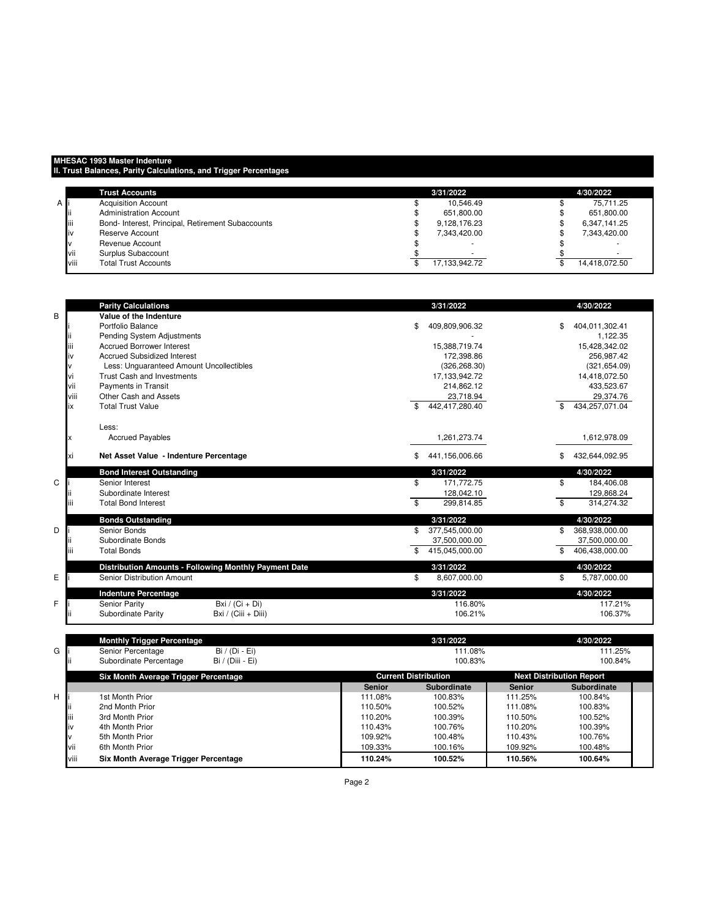## **MHESAC 1993 Master Indenture**

**II. Trust Balances, Parity Calculations, and Trigger Percentages**

|      | <b>Trust Accounts</b>                             | 3/31/2022                | 4/30/2022     |
|------|---------------------------------------------------|--------------------------|---------------|
| AI   | <b>Acquisition Account</b>                        | 10.546.49                | 75.711.25     |
|      | Administration Account                            | 651,800.00               | 651,800.00    |
| iii  | Bond- Interest, Principal, Retirement Subaccounts | 9.128.176.23             | 6,347,141.25  |
| iv   | Reserve Account                                   | 7.343.420.00             | 7.343.420.00  |
|      | Revenue Account                                   | $\overline{\phantom{a}}$ |               |
| vii  | Surplus Subaccount                                | $\overline{\phantom{a}}$ |               |
| viii | <b>Total Trust Accounts</b>                       | 17.133.942.72            | 14,418,072.50 |

|      | <b>Parity Calculations</b>                            | 3/31/2022            | 4/30/2022            |
|------|-------------------------------------------------------|----------------------|----------------------|
| B    | Value of the Indenture                                |                      |                      |
|      | Portfolio Balance                                     | \$<br>409,809,906.32 | \$<br>404,011,302.41 |
|      | Pending System Adjustments                            |                      | 1,122.35             |
| Ш    | <b>Accrued Borrower Interest</b>                      | 15,388,719.74        | 15,428,342.02        |
| iv   | <b>Accrued Subsidized Interest</b>                    | 172,398.86           | 256,987.42           |
|      | Less: Unquaranteed Amount Uncollectibles              | (326, 268.30)        | (321, 654.09)        |
| vi   | Trust Cash and Investments                            | 17,133,942.72        | 14,418,072.50        |
| vii  | Payments in Transit                                   | 214,862.12           | 433,523.67           |
| viii | Other Cash and Assets                                 | 23,718.94            | 29,374.76            |
| ix   | <b>Total Trust Value</b>                              | 442,417,280.40<br>\$ | 434,257,071.04<br>\$ |
|      | Less:                                                 |                      |                      |
| x    | <b>Accrued Payables</b>                               | 1,261,273.74         | 1,612,978.09         |
| хi   | Net Asset Value - Indenture Percentage                | 441,156,006.66<br>\$ | 432,644,092.95<br>\$ |
|      | <b>Bond Interest Outstanding</b>                      | 3/31/2022            | 4/30/2022            |
| C    | Senior Interest                                       | \$<br>171.772.75     | \$<br>184.406.08     |
|      | Subordinate Interest                                  | 128,042.10           | 129,868.24           |
|      | <b>Total Bond Interest</b>                            | 299.814.85<br>\$     | \$<br>314,274.32     |
|      | <b>Bonds Outstanding</b>                              | 3/31/2022            | 4/30/2022            |
| D    | Senior Bonds                                          | 377,545,000.00<br>\$ | 368,938,000.00<br>\$ |
|      | Subordinate Bonds                                     | 37,500,000.00        | 37,500,000.00        |
| iίi  | <b>Total Bonds</b>                                    | 415,045,000.00       | 406,438,000.00       |
|      | Distribution Amounts - Following Monthly Payment Date | 3/31/2022            | 4/30/2022            |
| E    | Senior Distribution Amount                            | 8,607,000.00<br>\$   | 5,787,000.00<br>\$   |
|      | <b>Indenture Percentage</b>                           | 3/31/2022            | 4/30/2022            |
| F    | Senior Parity<br>Bxi / $(Ci + Di)$                    | 116.80%              | 117.21%              |
|      | Subordinate Parity<br>Bxi / (Ciii + Diii)             | 106.21%              | 106.37%              |
|      | Mandhis Toleran Bananda                               | 2/24/2000            | 100/0000             |

|   |      | <b>Monthly Trigger Percentage</b>          |               | 3/31/2022                   |               | 4/30/2022                       |  |
|---|------|--------------------------------------------|---------------|-----------------------------|---------------|---------------------------------|--|
| G |      | $Bi / (Di - Ei)$<br>Senior Percentage      |               | 111.08%                     |               | 111.25%                         |  |
|   |      | Subordinate Percentage<br>Bi / (Diii - Ei) |               | 100.83%                     |               | 100.84%                         |  |
|   |      | Six Month Average Trigger Percentage       |               | <b>Current Distribution</b> |               | <b>Next Distribution Report</b> |  |
|   |      |                                            | <b>Senior</b> | <b>Subordinate</b>          | <b>Senior</b> | <b>Subordinate</b>              |  |
| н |      | 1st Month Prior                            | 111.08%       | 100.83%                     | 111.25%       | 100.84%                         |  |
|   |      | 2nd Month Prior                            | 110.50%       | 100.52%                     | 111.08%       | 100.83%                         |  |
|   | iii  | 3rd Month Prior                            | 110.20%       | 100.39%                     | 110.50%       | 100.52%                         |  |
|   | liv  | 4th Month Prior                            | 110.43%       | 100.76%                     | 110.20%       | 100.39%                         |  |
|   |      | 5th Month Prior                            | 109.92%       | 100.48%                     | 110.43%       | 100.76%                         |  |
|   | Vii  | 6th Month Prior                            | 109.33%       | 100.16%                     | 109.92%       | 100.48%                         |  |
|   | viii | Six Month Average Trigger Percentage       | 110.24%       | 100.52%                     | 110.56%       | 100.64%                         |  |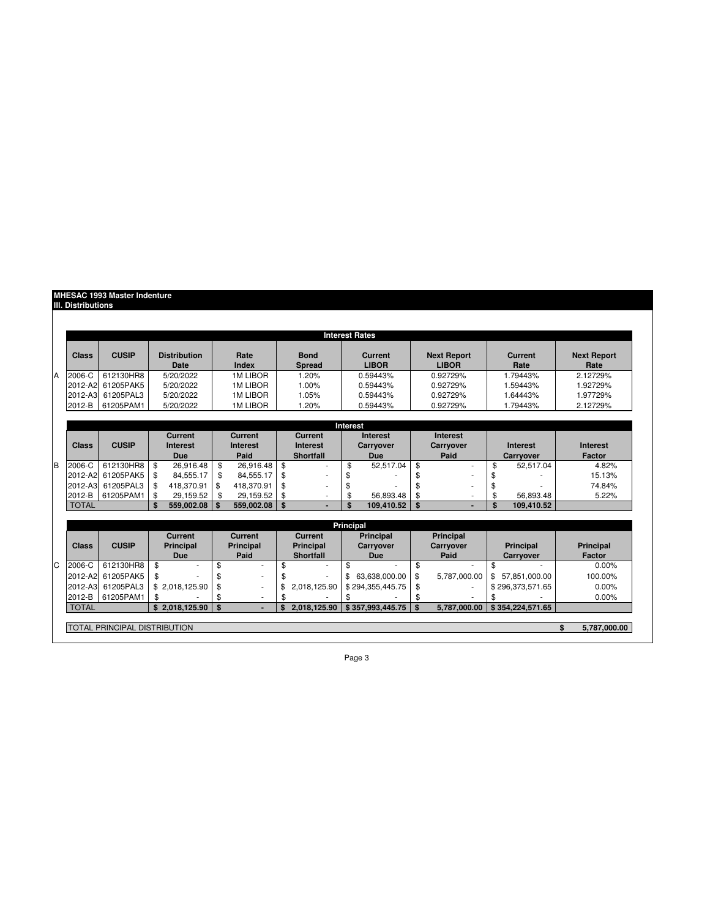## **MHESAC 1993 Master Indenture IIl. Distributions**

|                |                       |                                     |     |                                   |      |                            |                  |                                   |           | <b>Interest Rates</b>          |              |                                    |                        |                  |    |                            |
|----------------|-----------------------|-------------------------------------|-----|-----------------------------------|------|----------------------------|------------------|-----------------------------------|-----------|--------------------------------|--------------|------------------------------------|------------------------|------------------|----|----------------------------|
|                | <b>Class</b>          | <b>CUSIP</b>                        |     | <b>Distribution</b><br>Date       |      | Rate<br>Index              |                  | <b>Bond</b><br><b>Spread</b>      |           | <b>Current</b><br><b>LIBOR</b> |              | <b>Next Report</b><br><b>LIBOR</b> | <b>Current</b><br>Rate |                  |    | <b>Next Report</b><br>Rate |
| A              | $2006-C$              | 612130HR8                           |     | 5/20/2022                         |      | <b>1M LIBOR</b>            |                  | 1.20%                             |           | 0.59443%                       |              | 0.92729%                           |                        | 1.79443%         |    | 2.12729%                   |
|                | 2012-A2               | 61205PAK5                           |     | 5/20/2022                         |      | <b>1M LIBOR</b>            |                  | 1.00%                             |           | 0.59443%                       |              | 0.92729%                           |                        | 1.59443%         |    | 1.92729%                   |
|                | 2012-A3               | 61205PAL3                           |     | 5/20/2022                         |      | <b>1M LIBOR</b>            |                  | 1.05%                             |           | 0.59443%                       |              | 0.92729%                           |                        | 1.64443%         |    | 1.97729%                   |
|                | 2012-B                | 61205PAM1                           |     | 5/20/2022                         |      | <b>1M LIBOR</b>            |                  | 1.20%                             |           | 0.59443%                       |              | 0.92729%                           |                        | 1.79443%         |    | 2.12729%                   |
|                |                       |                                     |     |                                   |      |                            |                  |                                   |           |                                |              |                                    |                        |                  |    |                            |
|                |                       |                                     |     |                                   |      |                            |                  |                                   | Interest  |                                |              |                                    |                        |                  |    |                            |
|                |                       |                                     |     | <b>Current</b><br><b>Interest</b> |      | Current<br><b>Interest</b> |                  | <b>Current</b><br><b>Interest</b> |           | Interest                       |              | Interest<br>Carryover              |                        | <b>Interest</b>  |    | <b>Interest</b>            |
|                | Class<br><b>CUSIP</b> |                                     |     | <b>Due</b>                        | Paid |                            | <b>Shortfall</b> |                                   |           | <b>Carryover</b><br><b>Due</b> |              | Paid                               |                        | Carryover        |    | Factor                     |
| B              | 2006-C                | 612130HR8                           | \$  | 26.916.48                         | \$   | 26,916.48                  | \$               |                                   | \$        | 52.517.04                      | \$           | ÷                                  | \$                     | 52.517.04        |    | 4.82%                      |
|                | 2012-A2               | 61205PAK5                           | \$  | 84.555.17                         | \$   | 84.555.17                  | \$               |                                   | \$        |                                | \$           |                                    | \$                     |                  |    | 15.13%                     |
|                | 2012-A3               | 61205PAL3                           | \$  | 418.370.91                        | \$   | 418.370.91                 | \$               |                                   | \$        |                                | \$           |                                    | \$                     |                  |    | 74.84%                     |
|                | 2012-B                | 61205PAM1                           | \$  | 29.159.52                         | \$   | 29.159.52                  | \$               |                                   | \$        | 56.893.48                      | \$           |                                    | \$                     | 56.893.48        |    | 5.22%                      |
|                | <b>TOTAL</b>          |                                     | \$. | 559,002.08                        | \$   | 559,002.08                 | \$               |                                   | \$        | 109.410.52                     | $\mathbf{s}$ |                                    | \$                     | 109.410.52       |    |                            |
|                |                       |                                     |     |                                   |      |                            |                  |                                   |           |                                |              |                                    |                        |                  |    |                            |
|                |                       |                                     |     |                                   |      |                            |                  |                                   | Principal |                                |              |                                    |                        |                  |    |                            |
|                |                       |                                     |     | <b>Current</b>                    |      | <b>Current</b>             |                  | <b>Current</b>                    |           | <b>Principal</b>               |              | <b>Principal</b>                   |                        |                  |    |                            |
|                | <b>Class</b>          | <b>CUSIP</b>                        |     | <b>Principal</b>                  |      | <b>Principal</b>           | <b>Principal</b> |                                   |           | <b>Carryover</b>               |              | <b>Carryover</b>                   |                        | <b>Principal</b> |    | <b>Principal</b>           |
|                |                       |                                     |     | <b>Due</b>                        |      | Paid                       |                  | <b>Shortfall</b>                  |           | <b>Due</b>                     |              | Paid                               |                        | Carryover        |    | <b>Factor</b>              |
| $\overline{C}$ | 2006-C                | 612130HR8                           | \$  |                                   | \$   |                            | \$               |                                   | \$        |                                | \$           |                                    | \$                     |                  |    | $0.00\%$                   |
|                | 2012-A2               | 61205PAK5                           | \$  |                                   | \$   |                            |                  |                                   | \$        | 63.638.000.00                  | \$           | 5.787.000.00                       |                        | \$ 57.851.000.00 |    | 100.00%                    |
|                | 2012-A3               | 61205PAL3                           |     | \$2,018,125.90                    | \$   |                            | \$               | 2,018,125.90                      |           | \$294,355,445.75               | \$           |                                    |                        | \$296,373,571.65 |    | $0.00\%$                   |
|                | 2012-B                | 61205PAM1                           | \$  |                                   | \$   |                            | \$               |                                   | \$        |                                | \$           |                                    | \$                     |                  |    | 0.00%                      |
|                | <b>TOTAL</b>          |                                     |     | \$2,018,125.90                    | \$   |                            | \$               | 2,018,125.90                      |           | \$357.993.445.75               | \$           | 5.787.000.00                       |                        | \$354.224.571.65 |    |                            |
|                |                       |                                     |     |                                   |      |                            |                  |                                   |           |                                |              |                                    |                        |                  |    |                            |
|                |                       | <b>TOTAL PRINCIPAL DISTRIBUTION</b> |     |                                   |      |                            |                  |                                   |           |                                |              |                                    |                        |                  | \$ | 5.787.000.00               |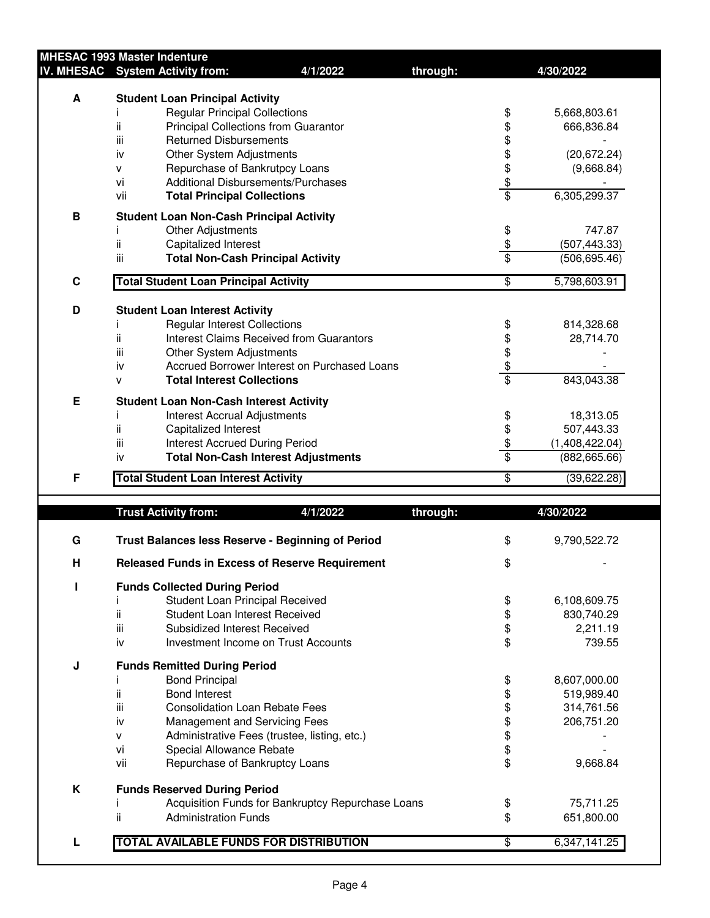|   | <b>MHESAC 1993 Master Indenture</b>                    |                                                   |          |                  |                |
|---|--------------------------------------------------------|---------------------------------------------------|----------|------------------|----------------|
|   | IV. MHESAC System Activity from:                       | 4/1/2022                                          | through: |                  | 4/30/2022      |
|   |                                                        |                                                   |          |                  |                |
| A | <b>Student Loan Principal Activity</b>                 |                                                   |          |                  |                |
|   | <b>Regular Principal Collections</b>                   |                                                   |          | \$               | 5,668,803.61   |
|   | ii<br><b>Principal Collections from Guarantor</b>      |                                                   |          | \$               | 666,836.84     |
|   | iii<br><b>Returned Disbursements</b>                   |                                                   |          |                  |                |
|   | Other System Adjustments<br>iv                         |                                                   |          |                  | (20, 672.24)   |
|   | Repurchase of Bankrutpcy Loans<br>v                    |                                                   |          |                  | (9,668.84)     |
|   | <b>Additional Disbursements/Purchases</b><br>vi        |                                                   |          |                  |                |
|   | vii<br><b>Total Principal Collections</b>              |                                                   |          | \$\$\$\$\$       | 6,305,299.37   |
|   |                                                        |                                                   |          |                  |                |
| B | <b>Student Loan Non-Cash Principal Activity</b>        |                                                   |          |                  |                |
|   | Other Adjustments                                      |                                                   |          |                  | 747.87         |
|   | ii<br>Capitalized Interest                             |                                                   |          | $rac{6}{3}$      | (507, 443.33)  |
|   | iii<br><b>Total Non-Cash Principal Activity</b>        |                                                   |          |                  | (506, 695.46)  |
| C | <b>Total Student Loan Principal Activity</b>           |                                                   |          | \$               | 5,798,603.91   |
|   |                                                        |                                                   |          |                  |                |
| D | <b>Student Loan Interest Activity</b>                  |                                                   |          |                  |                |
|   | <b>Regular Interest Collections</b>                    |                                                   |          | \$               | 814,328.68     |
|   | ii                                                     | <b>Interest Claims Received from Guarantors</b>   |          |                  | 28,714.70      |
|   | iii<br>Other System Adjustments                        |                                                   |          |                  |                |
|   | iv                                                     | Accrued Borrower Interest on Purchased Loans      |          |                  |                |
|   | <b>Total Interest Collections</b><br>v                 |                                                   |          | \$\$\$           | 843,043.38     |
|   |                                                        |                                                   |          |                  |                |
| E | <b>Student Loan Non-Cash Interest Activity</b>         |                                                   |          |                  |                |
|   | Interest Accrual Adjustments                           |                                                   |          | \$               | 18,313.05      |
|   | ii<br>Capitalized Interest                             |                                                   |          | \$               | 507,443.33     |
|   | iii<br><b>Interest Accrued During Period</b>           |                                                   |          | $\frac{6}{3}$    | (1,408,422.04) |
|   | iv                                                     | <b>Total Non-Cash Interest Adjustments</b>        |          |                  | (882, 665.66)  |
| F | <b>Total Student Loan Interest Activity</b>            |                                                   |          | \$               | (39,622.28)    |
|   |                                                        |                                                   |          |                  |                |
|   | <b>Trust Activity from:</b>                            | 4/1/2022                                          | through: |                  | 4/30/2022      |
|   |                                                        |                                                   |          |                  |                |
| G | Trust Balances less Reserve - Beginning of Period      |                                                   |          | \$               | 9,790,522.72   |
|   |                                                        |                                                   |          |                  |                |
| H | <b>Released Funds in Excess of Reserve Requirement</b> |                                                   |          | \$               |                |
| п | <b>Funds Collected During Period</b>                   |                                                   |          |                  |                |
|   | Student Loan Principal Received                        |                                                   |          |                  | 6,108,609.75   |
|   | ii<br>Student Loan Interest Received                   |                                                   |          | \$<br>\$         | 830,740.29     |
|   | iii<br>Subsidized Interest Received                    |                                                   |          |                  | 2,211.19       |
|   | iv                                                     | Investment Income on Trust Accounts               |          | \$<br>\$         | 739.55         |
|   |                                                        |                                                   |          |                  |                |
| J | <b>Funds Remitted During Period</b>                    |                                                   |          |                  |                |
|   | <b>Bond Principal</b><br>I                             |                                                   |          |                  | 8,607,000.00   |
|   | ii.<br><b>Bond Interest</b>                            |                                                   |          |                  | 519,989.40     |
|   | iii<br><b>Consolidation Loan Rebate Fees</b>           |                                                   |          |                  | 314,761.56     |
|   | iv<br>Management and Servicing Fees                    |                                                   |          |                  | 206,751.20     |
|   | v                                                      | Administrative Fees (trustee, listing, etc.)      |          |                  |                |
|   | vi<br>Special Allowance Rebate                         |                                                   |          |                  |                |
|   | vii<br>Repurchase of Bankruptcy Loans                  |                                                   |          | \$\$\$\$\$\$\$\$ | 9,668.84       |
|   |                                                        |                                                   |          |                  |                |
| K | <b>Funds Reserved During Period</b>                    |                                                   |          |                  |                |
|   |                                                        | Acquisition Funds for Bankruptcy Repurchase Loans |          | \$               | 75,711.25      |
|   | ii<br><b>Administration Funds</b>                      |                                                   |          | \$               | 651,800.00     |

**L TOTAL AVAILABLE FUNDS FOR DISTRIBUTION**  $$6,347,141.25$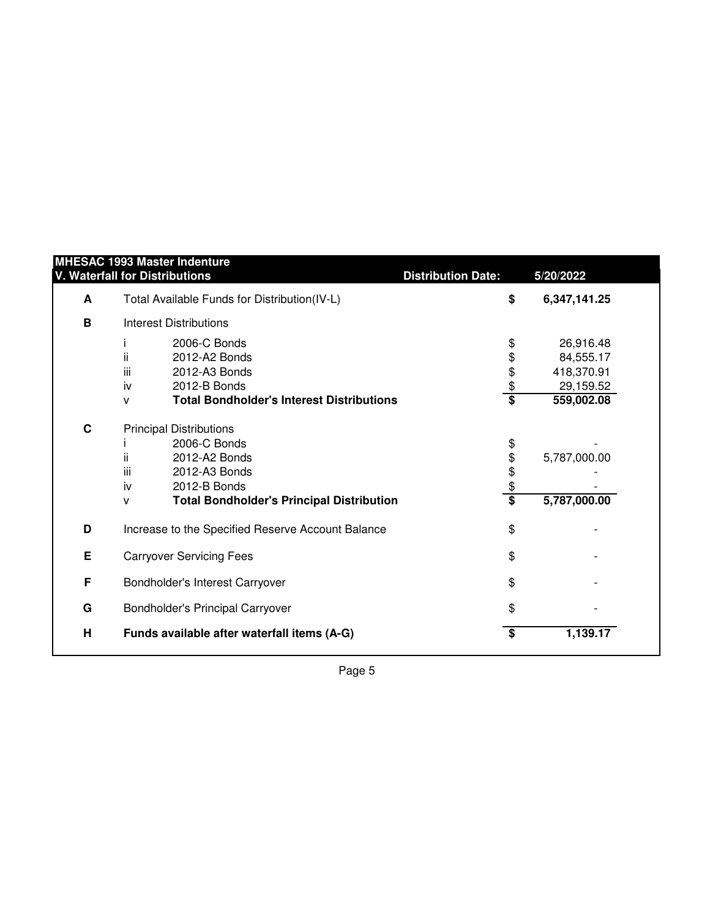| Total Available Funds for Distribution(IV-L)<br>\$<br>6,347,141.25<br>A<br>B<br><b>Interest Distributions</b><br>2006-C Bonds<br>\$<br>26,916.48<br>\$<br>ii.<br>2012-A2 Bonds<br>84,555.17<br>\$<br>iii<br>2012-A3 Bonds<br>418,370.91<br>$\frac{6}{5}$<br>2012-B Bonds<br>29,159.52<br>iv<br><b>Total Bondholder's Interest Distributions</b><br>559,002.08<br>v<br>C<br><b>Principal Distributions</b><br>2006-C Bonds<br>\$<br>\$<br>ii.<br>2012-A2 Bonds<br>5,787,000.00<br>\$<br>iii.<br>2012-A3 Bonds<br>$\frac{\$}{\$}$<br>iv<br>2012-B Bonds<br>5,787,000.00<br><b>Total Bondholder's Principal Distribution</b><br>v<br>\$<br>D<br>Increase to the Specified Reserve Account Balance<br>Е<br>\$<br><b>Carryover Servicing Fees</b><br>F<br>\$<br>Bondholder's Interest Carryover<br>G<br>\$<br>Bondholder's Principal Carryover<br>H<br>\$<br>1,139.17<br>Funds available after waterfall items (A-G) | <b>MHESAC 1993 Master Indenture</b><br>V. Waterfall for Distributions | <b>Distribution Date:</b> | 5/20/2022 |
|-----------------------------------------------------------------------------------------------------------------------------------------------------------------------------------------------------------------------------------------------------------------------------------------------------------------------------------------------------------------------------------------------------------------------------------------------------------------------------------------------------------------------------------------------------------------------------------------------------------------------------------------------------------------------------------------------------------------------------------------------------------------------------------------------------------------------------------------------------------------------------------------------------------------|-----------------------------------------------------------------------|---------------------------|-----------|
|                                                                                                                                                                                                                                                                                                                                                                                                                                                                                                                                                                                                                                                                                                                                                                                                                                                                                                                 |                                                                       |                           |           |
|                                                                                                                                                                                                                                                                                                                                                                                                                                                                                                                                                                                                                                                                                                                                                                                                                                                                                                                 |                                                                       |                           |           |
|                                                                                                                                                                                                                                                                                                                                                                                                                                                                                                                                                                                                                                                                                                                                                                                                                                                                                                                 |                                                                       |                           |           |
|                                                                                                                                                                                                                                                                                                                                                                                                                                                                                                                                                                                                                                                                                                                                                                                                                                                                                                                 |                                                                       |                           |           |
|                                                                                                                                                                                                                                                                                                                                                                                                                                                                                                                                                                                                                                                                                                                                                                                                                                                                                                                 |                                                                       |                           |           |
|                                                                                                                                                                                                                                                                                                                                                                                                                                                                                                                                                                                                                                                                                                                                                                                                                                                                                                                 |                                                                       |                           |           |
|                                                                                                                                                                                                                                                                                                                                                                                                                                                                                                                                                                                                                                                                                                                                                                                                                                                                                                                 |                                                                       |                           |           |
|                                                                                                                                                                                                                                                                                                                                                                                                                                                                                                                                                                                                                                                                                                                                                                                                                                                                                                                 |                                                                       |                           |           |
|                                                                                                                                                                                                                                                                                                                                                                                                                                                                                                                                                                                                                                                                                                                                                                                                                                                                                                                 |                                                                       |                           |           |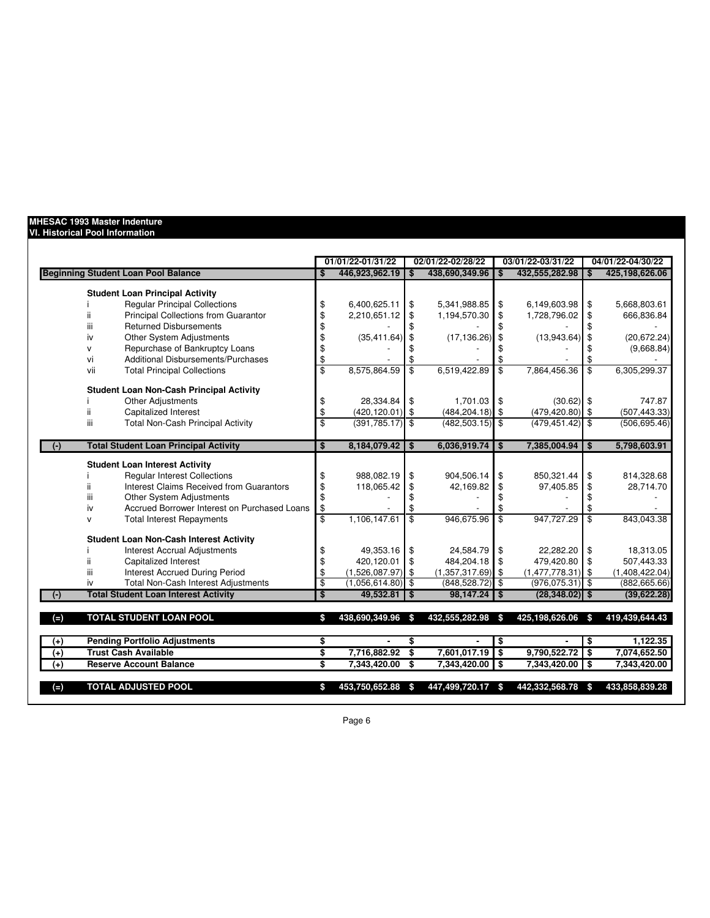## **MHESAC 1993 Master Indenture**

## **VI. Historical Pool Information**

|                                                           |                         | 01/01/22-01/31/22   | 02/01/22-02/28/22 |                     |                         | 03/01/22-03/31/22  |                          | 04/01/22-04/30/22 |
|-----------------------------------------------------------|-------------------------|---------------------|-------------------|---------------------|-------------------------|--------------------|--------------------------|-------------------|
| <b>Beginning Student Loan Pool Balance</b>                | \$                      | 446,923,962.19      | \$                | 438,690,349.96      | \$                      | 432,555,282.98     |                          | 425,198,626.06    |
| <b>Student Loan Principal Activity</b>                    |                         |                     |                   |                     |                         |                    |                          |                   |
| <b>Regular Principal Collections</b>                      | \$                      | 6,400,625.11        | \$                | 5,341,988.85        | \$                      | 6,149,603.98       | \$                       | 5,668,803.61      |
| Principal Collections from Guarantor                      | \$                      | 2,210,651.12        | \$                | 1,194,570.30        | \$                      | 1,728,796.02       | \$                       | 666,836.84        |
| <b>Returned Disbursements</b><br>iii                      | \$                      |                     | \$                |                     |                         |                    |                          |                   |
| Other System Adjustments<br>iv                            | \$                      | (35, 411.64)        | \$                | $(17, 136.26)$ \$   |                         | (13,943.64)        | \$                       | (20, 672.24)      |
| Repurchase of Bankruptcy Loans<br>v                       | \$                      |                     | \$                |                     |                         |                    | \$                       | (9,668.84)        |
| Additional Disbursements/Purchases<br>vi                  | \$                      |                     | \$                |                     |                         |                    |                          |                   |
| <b>Total Principal Collections</b><br>vii                 | $\overline{\mathbb{S}}$ | 8.575.864.59        | $\overline{\$}$   | 6,519,422.89        | \$                      | 7,864,456.36       | \$                       | 6,305,299.37      |
| <b>Student Loan Non-Cash Principal Activity</b>           |                         |                     |                   |                     |                         |                    |                          |                   |
| Other Adjustments                                         | \$                      | 28.334.84           | \$                | 1,701.03            | <b>S</b>                | $(30.62)$ \$       |                          | 747.87            |
| Capitalized Interest<br>ii.                               | \$                      | $(420, 120.01)$ \$  |                   | $(484, 204.18)$ \$  |                         | $(479, 420.80)$ \$ |                          | (507, 443.33)     |
| <b>Total Non-Cash Principal Activity</b><br>iii           | $\overline{\mathbb{S}}$ | $(391, 785.17)$ \$  |                   | $(482, 503.15)$ \$  |                         | $(479, 451.42)$ \$ |                          | (506, 695.46)     |
|                                                           |                         |                     |                   | 6.036.919.74        |                         |                    |                          |                   |
| <b>Total Student Loan Principal Activity</b><br>$(\cdot)$ | \$                      | $8,184,079.42$ \$   |                   |                     | \$                      | 7,385,004.94       | \$                       | 5,798,603.91      |
| <b>Student Loan Interest Activity</b>                     |                         |                     |                   |                     |                         |                    |                          |                   |
| <b>Regular Interest Collections</b>                       | \$                      | 988,082.19          | \$                | 904,506.14          | \$                      | 850,321.44         | \$                       | 814,328.68        |
| Interest Claims Received from Guarantors<br>ii.           | \$                      | 118,065.42          | \$                | 42,169.82           | \$                      | 97,405.85          | \$                       | 28,714.70         |
| Other System Adjustments<br>ш                             | \$                      |                     | \$                |                     |                         |                    | \$                       |                   |
| Accrued Borrower Interest on Purchased Loans<br>iv        | \$                      |                     | \$                |                     | \$                      |                    | \$                       |                   |
| <b>Total Interest Repayments</b><br>$\mathsf{v}$          | $\overline{\$}$         | 1,106,147.61        | $\overline{\$}$   | 946,675.96          | $\overline{\mathbf{s}}$ | 947,727.29         | $\overline{\mathcal{S}}$ | 843,043.38        |
| <b>Student Loan Non-Cash Interest Activity</b>            |                         |                     |                   |                     |                         |                    |                          |                   |
| <b>Interest Accrual Adjustments</b>                       | \$                      | 49,353.16           | \$                | 24,584.79           | \$                      | 22,282.20          | \$                       | 18,313.05         |
| Capitalized Interest                                      | \$                      | 420,120.01          | \$                | 484,204.18          | <b>S</b>                | 479,420.80         | \$                       | 507,443.33        |
| <b>Interest Accrued During Period</b><br>iii              | \$                      | $(1,526,087.97)$ \$ |                   | $(1,357,317.69)$ \$ |                         | (1,477,778.31)     | \$                       | (1,408,422.04)    |
| <b>Total Non-Cash Interest Adjustments</b><br>iv          | \$                      | $(1,056,614.80)$ \$ |                   | $(848, 528.72)$ \$  |                         | (976, 075.31)      | l \$                     | (882, 665.66)     |
| <b>Total Student Loan Interest Activity</b>               | $\overline{\mathbf{s}}$ | $49.532.81$ S       |                   | $98,147.24$ \ \$    |                         | $(28, 348.02)$ \$  |                          | (39,622.28)       |
| <b>TOTAL STUDENT LOAN POOL</b><br>$(=)$                   | \$                      | 438,690,349.96      | - \$              | 432,555,282.98      | $\mathbf{s}$            | 425,198,626.06     | \$                       | 419,439,644.43    |
| <b>Pending Portfolio Adjustments</b><br>$^{(+)}$          | \$                      | $\blacksquare$      | \$                |                     | \$                      |                    | \$                       | 1,122.35          |
| <b>Trust Cash Available</b><br>$(+)$                      | \$                      | 7,716,882.92        | \$                | 7,601,017.19        | $\bullet$               | 9,790,522.72       | \$                       | 7,074,652.50      |
| <b>Reserve Account Balance</b><br>$^{(+)}$                | s,                      | 7,343,420.00        | \$                | 7,343,420.00        | l \$                    | 7,343,420.00       | \$                       | 7,343,420.00      |
| <b>TOTAL ADJUSTED POOL</b><br>$(=)$                       | \$                      | 453,750,652.88      | -S                | 447,499,720.17 \$   |                         | 442,332,568.78     | \$                       | 433,858,839.28    |